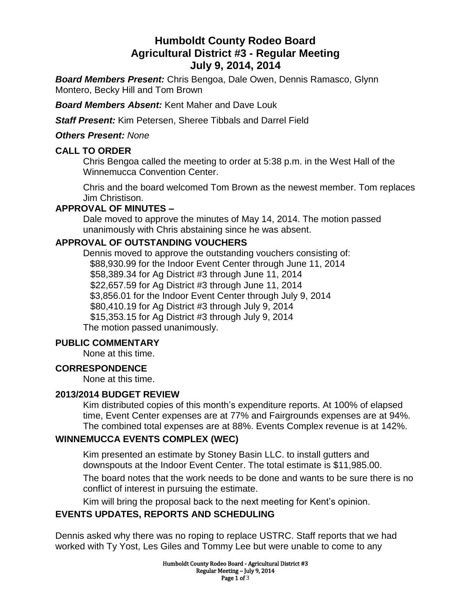# **Humboldt County Rodeo Board Agricultural District #3 - Regular Meeting July 9, 2014, 2014**

*Board Members Present:* Chris Bengoa, Dale Owen, Dennis Ramasco, Glynn Montero, Becky Hill and Tom Brown

*Board Members Absent:* Kent Maher and Dave Louk

*Staff Present:* Kim Petersen, Sheree Tibbals and Darrel Field

#### *Others Present: None*

### **CALL TO ORDER**

Chris Bengoa called the meeting to order at 5:38 p.m. in the West Hall of the Winnemucca Convention Center.

Chris and the board welcomed Tom Brown as the newest member. Tom replaces Jim Christison.

# **APPROVAL OF MINUTES –**

Dale moved to approve the minutes of May 14, 2014. The motion passed unanimously with Chris abstaining since he was absent.

# **APPROVAL OF OUTSTANDING VOUCHERS**

Dennis moved to approve the outstanding vouchers consisting of: \$88,930.99 for the Indoor Event Center through June 11, 2014 \$58,389.34 for Ag District #3 through June 11, 2014 \$22,657.59 for Ag District #3 through June 11, 2014 \$3,856.01 for the Indoor Event Center through July 9, 2014 \$80,410.19 for Ag District #3 through July 9, 2014 \$15,353.15 for Ag District #3 through July 9, 2014 The motion passed unanimously.

# **PUBLIC COMMENTARY**

None at this time.

# **CORRESPONDENCE**

None at this time.

#### **2013/2014 BUDGET REVIEW**

Kim distributed copies of this month's expenditure reports. At 100% of elapsed time, Event Center expenses are at 77% and Fairgrounds expenses are at 94%. The combined total expenses are at 88%. Events Complex revenue is at 142%.

# **WINNEMUCCA EVENTS COMPLEX (WEC)**

Kim presented an estimate by Stoney Basin LLC. to install gutters and downspouts at the Indoor Event Center. The total estimate is \$11,985.00.

The board notes that the work needs to be done and wants to be sure there is no conflict of interest in pursuing the estimate.

Kim will bring the proposal back to the next meeting for Kent's opinion.

# **EVENTS UPDATES, REPORTS AND SCHEDULING**

Dennis asked why there was no roping to replace USTRC. Staff reports that we had worked with Ty Yost, Les Giles and Tommy Lee but were unable to come to any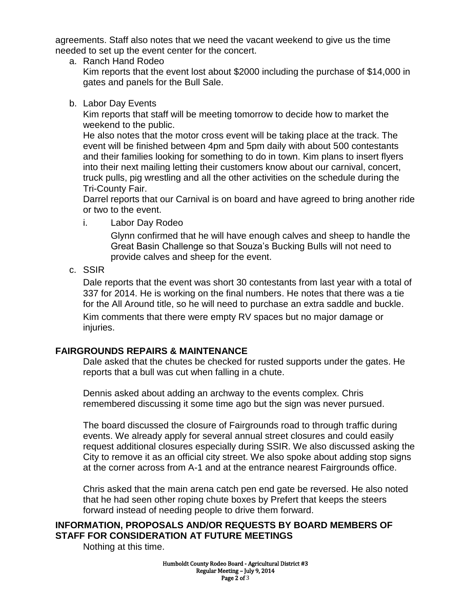agreements. Staff also notes that we need the vacant weekend to give us the time needed to set up the event center for the concert.

a. Ranch Hand Rodeo

Kim reports that the event lost about \$2000 including the purchase of \$14,000 in gates and panels for the Bull Sale.

b. Labor Day Events

Kim reports that staff will be meeting tomorrow to decide how to market the weekend to the public.

He also notes that the motor cross event will be taking place at the track. The event will be finished between 4pm and 5pm daily with about 500 contestants and their families looking for something to do in town. Kim plans to insert flyers into their next mailing letting their customers know about our carnival, concert, truck pulls, pig wrestling and all the other activities on the schedule during the Tri-County Fair.

Darrel reports that our Carnival is on board and have agreed to bring another ride or two to the event.

i. Labor Day Rodeo

Glynn confirmed that he will have enough calves and sheep to handle the Great Basin Challenge so that Souza's Bucking Bulls will not need to provide calves and sheep for the event.

c. SSIR

Dale reports that the event was short 30 contestants from last year with a total of 337 for 2014. He is working on the final numbers. He notes that there was a tie for the All Around title, so he will need to purchase an extra saddle and buckle.

Kim comments that there were empty RV spaces but no major damage or injuries.

# **FAIRGROUNDS REPAIRS & MAINTENANCE**

Dale asked that the chutes be checked for rusted supports under the gates. He reports that a bull was cut when falling in a chute.

Dennis asked about adding an archway to the events complex. Chris remembered discussing it some time ago but the sign was never pursued.

The board discussed the closure of Fairgrounds road to through traffic during events. We already apply for several annual street closures and could easily request additional closures especially during SSIR. We also discussed asking the City to remove it as an official city street. We also spoke about adding stop signs at the corner across from A-1 and at the entrance nearest Fairgrounds office.

Chris asked that the main arena catch pen end gate be reversed. He also noted that he had seen other roping chute boxes by Prefert that keeps the steers forward instead of needing people to drive them forward.

### **INFORMATION, PROPOSALS AND/OR REQUESTS BY BOARD MEMBERS OF STAFF FOR CONSIDERATION AT FUTURE MEETINGS**

Nothing at this time.